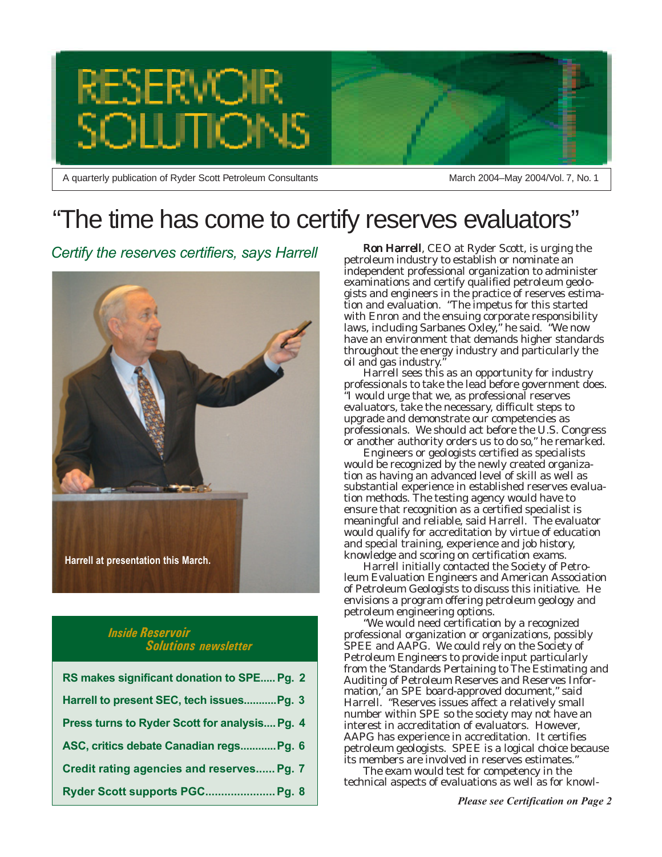

A quarterly publication of Ryder Scott Petroleum Consultants

March 2004–May 2004/Vol. 7, No. 1

## "The time has come to certify reserves evaluators"

*Certify the reserves certifiers, says Harrell*



### *Inside Reservoir Solutions newsletter*

| RS makes significant donation to SPE Pg. 2    |
|-----------------------------------------------|
| Harrell to present SEC, tech issues Pg. 3     |
| Press turns to Ryder Scott for analysis Pg. 4 |
| ASC, critics debate Canadian regs Pg. 6       |
| Credit rating agencies and reserves Pg. 7     |
| Ryder Scott supports PGC Pg. 8                |

Ron Harrell, CEO at Ryder Scott, is urging the petroleum industry to establish or nominate an independent professional organization to administer examinations and certify qualified petroleum geologists and engineers in the practice of reserves estimation and evaluation. "The impetus for this started with Enron and the ensuing corporate responsibility laws, including Sarbanes Oxley," he said. "We now have an environment that demands higher standards throughout the energy industry and particularly the oil and gas industry."

Harrell sees this as an opportunity for industry professionals to take the lead before government does. "I would urge that we, as professional reserves evaluators, take the necessary, difficult steps to upgrade and demonstrate our competencies as professionals. We should act before the U.S. Congress or another authority orders us to do so," he remarked.

Engineers or geologists certified as specialists would be recognized by the newly created organization as having an advanced level of skill as well as substantial experience in established reserves evaluation methods. The testing agency would have to ensure that recognition as a certified specialist is meaningful and reliable, said Harrell. The evaluator would qualify for accreditation by virtue of education and special training, experience and job history, knowledge and scoring on certification exams.

Harrell initially contacted the Society of Petroleum Evaluation Engineers and American Association of Petroleum Geologists to discuss this initiative. He envisions a program offering petroleum geology and petroleum engineering options.

"We would need certification by a recognized professional organization or organizations, possibly SPEE and AAPG. We could rely on the Society of Petroleum Engineers to provide input particularly from the 'Standards Pertaining to The Estimating and Auditing of Petroleum Reserves and Reserves Information,' an SPE board-approved document," said Harrell. "Reserves issues affect a relatively small number within SPE so the society may not have an interest in accreditation of evaluators. However, AAPG has experience in accreditation. It certifies petroleum geologists. SPEE is a logical choice because its members are involved in reserves estimates."

The exam would test for competency in the technical aspects of evaluations as well as for knowl-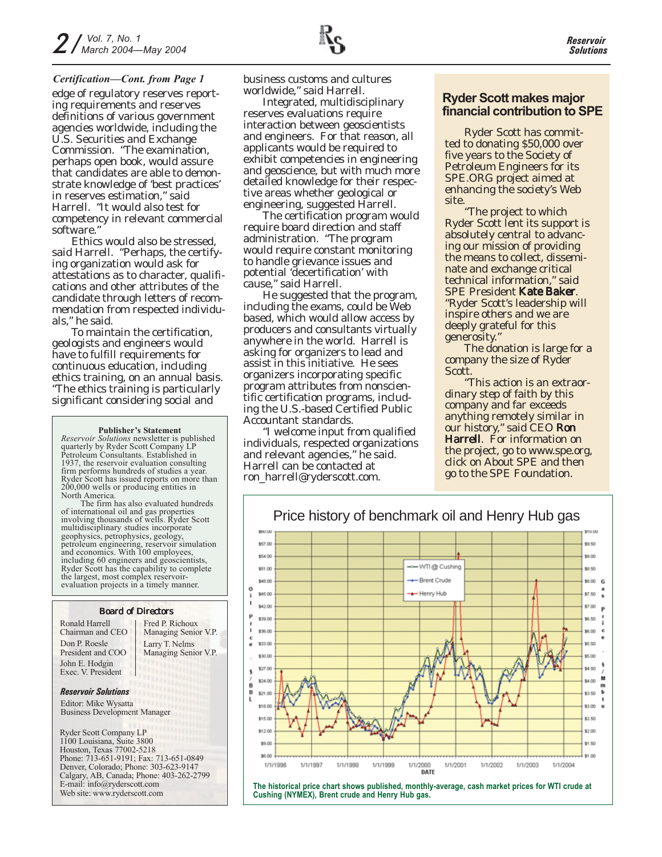#### *Certification—Cont. from Page 1*

edge of regulatory reserves reporting requirements and reserves definitions of various government agencies worldwide, including the U.S. Securities and Exchange Commission. "The examination, perhaps open book, would assure that candidates are able to demonstrate knowledge of 'best practices' in reserves estimation," said Harrell. "It would also test for competency in relevant commercial software."

Ethics would also be stressed, said Harrell. "Perhaps, the certifying organization would ask for attestations as to character, qualifications and other attributes of the candidate through letters of recommendation from respected individuals," he said.

To maintain the certification, geologists and engineers would have to fulfill requirements for continuous education, including ethics training, on an annual basis. "The ethics training is particularly significant considering social and

#### **Publisher's Statement**

*Reservoir Solutions* newsletter is published quarterly by Ryder Scott Company LP Petroleum Consultants. Established in 1937, the reservoir evaluation consulting firm performs hundreds of studies a year. Ryder Scott has issued reports on more than 200,000 wells or producing entities in North America.

The firm has also evaluated hundreds of international oil and gas properties involving thousands of wells. Ryder Scott multidisciplinary studies incorporate geophysics, petrophysics, geology, petroleum engineering, reservoir simulation and economics. With 100 employees, including 60 engineers and geoscientists, Ryder Scott has the capability to complete the largest, most complex reservoirevaluation projects in a timely manner.

#### Board of Directors

Ronald Harrell Chairman and CEO Don P. Roesle President and COO John E. Hodgin Exec. V. President

Larry T. Nelms Managing Senior V.P. Fred P. Richoux Managing Senior V.P.

#### *Reservoir Solutions*

Editor: Mike Wysatta Business Development Manager

Ryder Scott Company LP 1100 Louisiana, Suite 3800 Houston, Texas 77002-5218 Phone: 713-651-9191; Fax: 713-651-0849 Denver, Colorado; Phone: 303-623-9147 Calgary, AB, Canada; Phone: 403-262-2799 E-mail: info@ryderscott.com Web site: www.ryderscott.com

business customs and cultures worldwide," said Harrell.

Integrated, multidisciplinary reserves evaluations require interaction between geoscientists and engineers. For that reason, all applicants would be required to exhibit competencies in engineering and geoscience, but with much more detailed knowledge for their respective areas whether geological or engineering, suggested Harrell.

The certification program would require board direction and staff administration. "The program would require constant monitoring to handle grievance issues and potential 'decertification' with cause," said Harrell.

He suggested that the program, including the exams, could be Web based, which would allow access by producers and consultants virtually anywhere in the world. Harrell is asking for organizers to lead and assist in this initiative. He sees organizers incorporating specific program attributes from nonscientific certification programs, including the U.S.-based Certified Public Accountant standards.

"I welcome input from qualified individuals, respected organizations and relevant agencies," he said. Harrell can be contacted at ron\_harrell@ryderscott.com.

### **Ryder Scott makes major financial contribution to SPE**

Ryder Scott has committed to donating \$50,000 over five years to the Society of Petroleum Engineers for its SPE.ORG project aimed at enhancing the society's Web site.

"The project to which Ryder Scott lent its support is absolutely central to advancing our mission of providing the means to collect, disseminate and exchange critical technical information," said SPE President Kate Baker. "Ryder Scott's leadership will inspire others and we are deeply grateful for this generosity."

The donation is large for a company the size of Ryder Scott.

"This action is an extraordinary step of faith by this company and far exceeds anything remotely similar in our history," said CEO Ron Harrell. For information on the project, go to www.spe.org, click on About SPE and then go to the SPE Foundation.



**The historical price chart shows published, monthly-average, cash market prices for WTI crude at Cushing (NYMEX), Brent crude and Henry Hub gas.**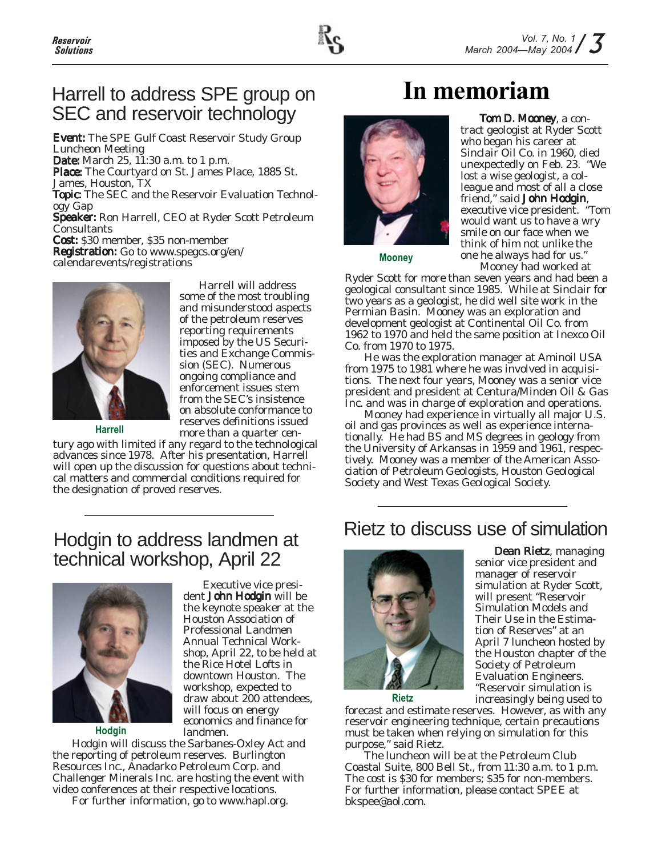

### Harrell to address SPE group on SEC and reservoir technology

Event: The SPE Gulf Coast Reservoir Study Group Luncheon Meeting

Date: March 25, 11:30 a.m. to 1 p.m. Place: The Courtyard on St. James Place, 1885 St.

James, Houston, TX

Topic: The SEC and the Reservoir Evaluation Technology Gap

Speaker: Ron Harrell, CEO at Ryder Scott Petroleum Consultants

Cost: \$30 member, \$35 non-member Registration: Go to www.spegcs.org/en/ calendarevents/registrations



**Harrell**

some of the most troubling and misunderstood aspects of the petroleum reserves reporting requirements imposed by the US Securities and Exchange Commission (SEC). Numerous ongoing compliance and enforcement issues stem from the SEC's insistence on absolute conformance to reserves definitions issued more than a quarter cen-

Harrell will address

tury ago with limited if any regard to the technological advances since 1978. After his presentation, Harrell will open up the discussion for questions about technical matters and commercial conditions required for the designation of proved reserves.

## **In memoriam**



Tom D. Mooney, a contract geologist at Ryder Scott who began his career at Sinclair Oil Co. in 1960, died unexpectedly on Feb. 23. "We lost a wise geologist, a colleague and most of all a close friend," said John Hodgin, executive vice president. "Tom would want us to have a wry smile on our face when we think of him not unlike the one he always had for us."

**Mooney**

Mooney had worked at Ryder Scott for more than seven years and had been a geological consultant since 1985. While at Sinclair for two years as a geologist, he did well site work in the Permian Basin. Mooney was an exploration and development geologist at Continental Oil Co. from 1962 to 1970 and held the same position at Inexco Oil Co. from 1970 to 1975.

He was the exploration manager at Aminoil USA from 1975 to 1981 where he was involved in acquisitions. The next four years, Mooney was a senior vice president and president at Centura/Minden Oil & Gas Inc. and was in charge of exploration and operations.

Mooney had experience in virtually all major U.S. oil and gas provinces as well as experience internationally. He had BS and MS degrees in geology from the University of Arkansas in 1959 and 1961, respectively. Mooney was a member of the American Association of Petroleum Geologists, Houston Geological Society and West Texas Geological Society.

### Hodgin to address landmen at technical workshop, April 22



**Hodgin**

Executive vice president John Hodgin will be the keynote speaker at the Houston Association of Professional Landmen Annual Technical Workshop, April 22, to be held at the Rice Hotel Lofts in downtown Houston. The workshop, expected to draw about 200 attendees, will focus on energy economics and finance for landmen.

Hodgin will discuss the Sarbanes-Oxley Act and the reporting of petroleum reserves. Burlington Resources Inc., Anadarko Petroleum Corp. and Challenger Minerals Inc. are hosting the event with video conferences at their respective locations.

For further information, go to www.hapl.org.

## Rietz to discuss use of simulation



Dean Rietz, managing senior vice president and manager of reservoir simulation at Ryder Scott, will present "Reservoir Simulation Models and Their Use in the Estimation of Reserves" at an April 7 luncheon hosted by the Houston chapter of the Society of Petroleum Evaluation Engineers. "Reservoir simulation is increasingly being used to

**Rietz**

forecast and estimate reserves. However, as with any reservoir engineering technique, certain precautions must be taken when relying on simulation for this purpose," said Rietz.

The luncheon will be at the Petroleum Club Coastal Suite, 800 Bell St., from 11:30 a.m. to 1 p.m. The cost is \$30 for members; \$35 for non-members. For further information, please contact SPEE at bkspee@aol.com.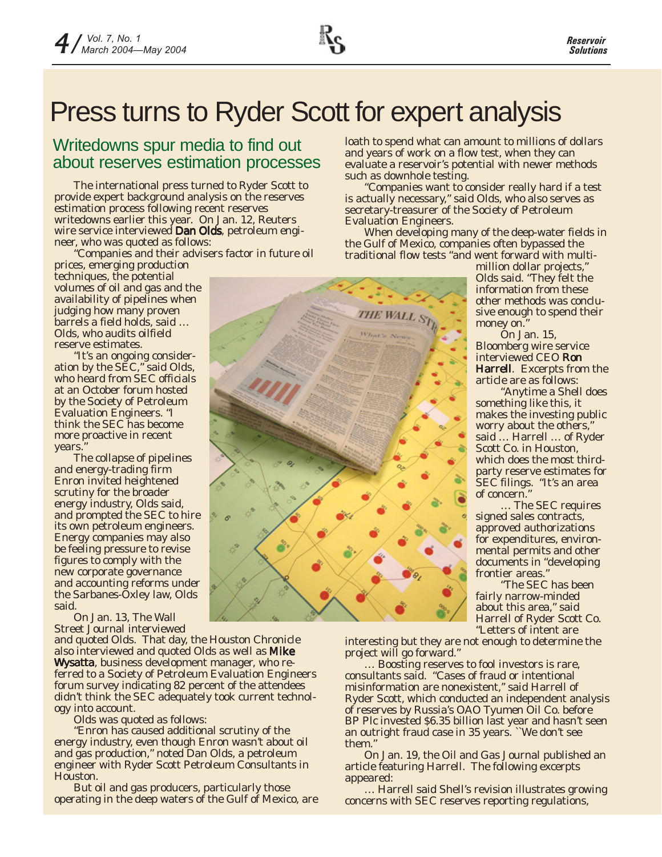## Press turns to Ryder Scott for expert analysis

### Writedowns spur media to find out about reserves estimation processes

The international press turned to Ryder Scott to provide expert background analysis on the reserves estimation process following recent reserves writedowns earlier this year. On Jan. 12, *Reuters* wire service interviewed Dan Olds, petroleum engineer, who was quoted as follows:

*"Companies and their advisers factor in future oil prices, emerging production*

*techniques, the potential volumes of oil and gas and the availability of pipelines when judging how many proven barrels a field holds, said … Olds, who audits oilfield reserve estimates.*

*"It's an ongoing consideration by the SEC," said Olds, who heard from SEC officials at an October forum hosted by the Society of Petroleum Evaluation Engineers. "I think the SEC has become more proactive in recent years."*

*The collapse of pipelines and energy-trading firm Enron invited heightened scrutiny for the broader energy industry, Olds said, and prompted the SEC to hire its own petroleum engineers. Energy companies may also be feeling pressure to revise figures to comply with the new corporate governance and accounting reforms under the Sarbanes-Oxley law, Olds said.*

On Jan. 13, *The Wall Street Journal* interviewed

and quoted Olds. That day, the *Houston Chronicle* also interviewed and quoted Olds as well as Mike Wysatta, business development manager, who referred to a Society of Petroleum Evaluation Engineers forum survey indicating 82 percent of the attendees didn't think the SEC adequately took current technology into account.

Olds was quoted as follows:

*"Enron has caused additional scrutiny of the energy industry, even though Enron wasn't about oil and gas production," noted Dan Olds, a petroleum engineer with Ryder Scott Petroleum Consultants in Houston.*

*But oil and gas producers, particularly those operating in the deep waters of the Gulf of Mexico, are*

*loath to spend what can amount to millions of dollars and years of work on a flow test, when they can evaluate a reservoir's potential with newer methods such as downhole testing.*

*"Companies want to consider really hard if a test is actually necessary," said Olds, who also serves as secretary-treasurer of the Society of Petroleum Evaluation Engineers.*

*When developing many of the deep-water fields in the Gulf of Mexico, companies often bypassed the traditional flow tests "and went forward with multi-*

THE WALL S

*million dollar projects," Olds said. "They felt the information from these other methods was conclusive enough to spend their money on."*

On Jan. 15, *Bloomberg* wire service interviewed CEO Ron Harrell. Excerpts from the article are as follows:

*"Anytime a Shell does something like this, it makes the investing public worry about the others," said … Harrell … of Ryder Scott Co. in Houston, which does the most thirdparty reserve estimates for SEC filings. "It's an area of concern."*

*… The SEC requires signed sales contracts, approved authorizations for expenditures, environmental permits and other documents in "developing frontier areas."*

*"The SEC has been fairly narrow-minded about this area," said Harrell of Ryder Scott Co. "Letters of intent are*

*interesting but they are not enough to determine the project will go forward."*

*… Boosting reserves to fool investors is rare, consultants said. "Cases of fraud or intentional misinformation are nonexistent,'' said Harrell of Ryder Scott, which conducted an independent analysis of reserves by Russia's OAO Tyumen Oil Co. before BP Plc invested \$6.35 billion last year and hasn't seen an outright fraud case in 35 years. ``We don't see them.''*

On Jan. 19, the *Oil and Gas Journal* published an article featuring Harrell. The following excerpts appeared:

*… Harrell said Shell's revision illustrates growing concerns with SEC reserves reporting regulations,*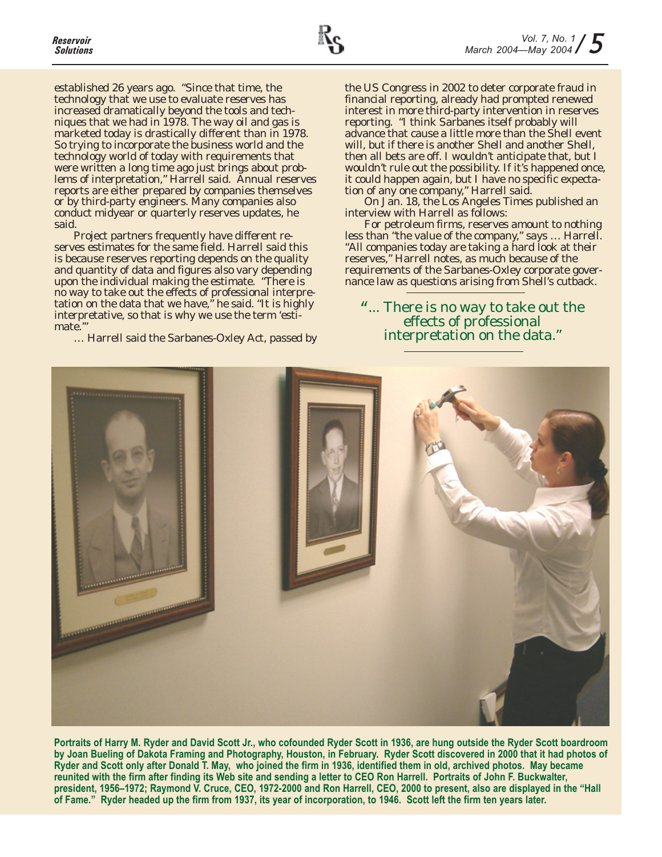

*established 26 years ago. "Since that time, the technology that we use to evaluate reserves has increased dramatically beyond the tools and techniques that we had in 1978. The way oil and gas is marketed today is drastically different than in 1978. So trying to incorporate the business world and the technology world of today with requirements that were written a long time ago just brings about problems of interpretation," Harrell said. Annual reserves reports are either prepared by companies themselves or by third-party engineers. Many companies also conduct midyear or quarterly reserves updates, he said.*

*Project partners frequently have different reserves estimates for the same field. Harrell said this is because reserves reporting depends on the quality and quantity of data and figures also vary depending upon the individual making the estimate. "There is no way to take out the effects of professional interpretation on the data that we have," he said. "It is highly interpretative, so that is why we use the term 'estimate.'"*

*… Harrell said the Sarbanes-Oxley Act, passed by*

*the US Congress in 2002 to deter corporate fraud in financial reporting, already had prompted renewed interest in more third-party intervention in reserves reporting. "I think Sarbanes itself probably will advance that cause a little more than the Shell event will, but if there is another Shell and another Shell, then all bets are off. I wouldn't anticipate that, but I wouldn't rule out the possibility. If it's happened once, it could happen again, but I have no specific expectation of any one company," Harrell said.*

On Jan. 18, the *Los Angeles Times* published an interview with Harrell as follows:

*For petroleum firms, reserves amount to nothing less than "the value of the company," says … Harrell. "All companies today are taking a hard look at their reserves," Harrell notes, as much because of the requirements of the Sarbanes-Oxley corporate governance law as questions arising from Shell's cutback.*

"*... There is no way to take out the effects of professional interpretation on the data."*



**Portraits of Harry M. Ryder and David Scott Jr., who cofounded Ryder Scott in 1936, are hung outside the Ryder Scott boardroom by Joan Bueling of Dakota Framing and Photography, Houston, in February. Ryder Scott discovered in 2000 that it had photos of Ryder and Scott only after Donald T. May, who joined the firm in 1936, identified them in old, archived photos. May became reunited with the firm after finding its Web site and sending a letter to CEO Ron Harrell. Portraits of John F. Buckwalter, president, 1956–1972; Raymond V. Cruce, CEO, 1972-2000 and Ron Harrell, CEO, 2000 to present, also are displayed in the "Hall of Fame." Ryder headed up the firm from 1937, its year of incorporation, to 1946. Scott left the firm ten years later.**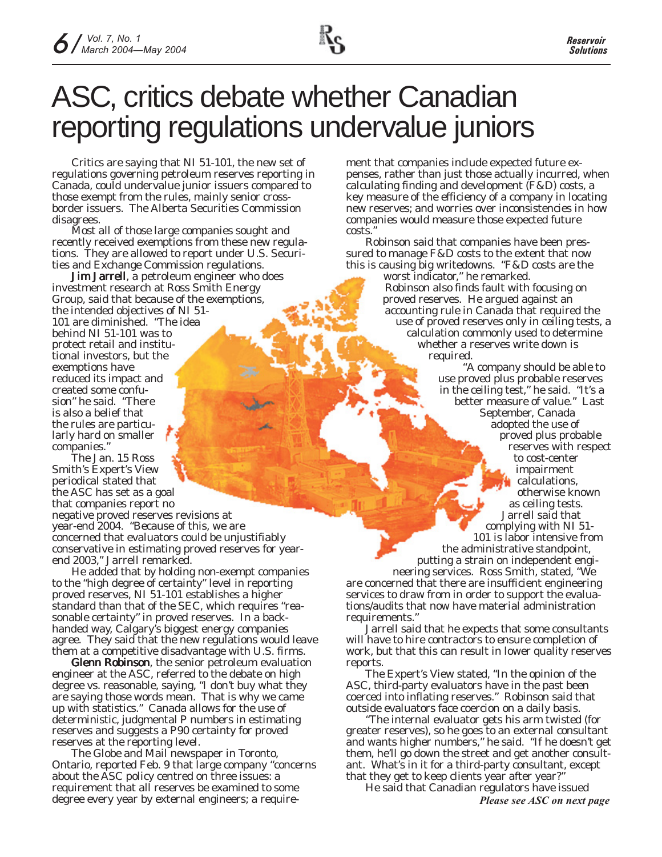# ASC, critics debate whether Canadian reporting regulations undervalue juniors

Critics are saying that NI 51-101, the new set of regulations governing petroleum reserves reporting in Canada, could undervalue junior issuers compared to those exempt from the rules, mainly senior crossborder issuers. The Alberta Securities Commission disagrees.

Most all of those large companies sought and recently received exemptions from these new regulations. They are allowed to report under U.S. Securities and Exchange Commission regulations.

**Jim Jarrell**, a petroleum engineer who does investment research at Ross Smith Energy Group, said that because of the exemptions, the intended objectives of NI 51- 101 are diminished. "The idea behind NI 51-101 was to protect retail and institutional investors, but the exemptions have reduced its impact and created some confusion" he said. "There is also a belief that the rules are particularly hard on smaller companies."

The Jan. 15 Ross Smith's *Expert's View* periodical stated that the ASC has set as a goal that companies report no negative proved reserves revisions at year-end 2004. "Because of this, we are concerned that evaluators could be unjustifiably conservative in estimating proved reserves for yearend 2003," Jarrell remarked.

He added that by holding non-exempt companies to the "high degree of certainty" level in reporting proved reserves, NI 51-101 establishes a higher standard than that of the SEC, which requires "reasonable certainty" in proved reserves. In a backhanded way, Calgary's biggest energy companies agree. They said that the new regulations would leave them at a competitive disadvantage with U.S. firms.

Glenn Robinson, the senior petroleum evaluation engineer at the ASC, referred to the debate on high degree vs. reasonable, saying, "I don't buy what they are saying those words mean. That is why we came up with statistics." Canada allows for the use of deterministic, judgmental P numbers in estimating reserves and suggests a P90 certainty for proved reserves at the reporting level.

*The Globe and Mail* newspaper in Toronto, Ontario, reported Feb. 9 that large company "concerns about the ASC policy centred on three issues: a requirement that all reserves be examined to some degree every year by external engineers; a requirement that companies include expected future expenses, rather than just those actually incurred, when calculating finding and development (F&D) costs, a key measure of the efficiency of a company in locating new reserves; and worries over inconsistencies in how companies would measure those expected future costs."

Robinson said that companies have been pressured to manage F&D costs to the extent that now this is causing big writedowns. "F&D costs are the

worst indicator," he remarked. Robinson also finds fault with focusing on proved reserves. He argued against an accounting rule in Canada that required the use of proved reserves only in ceiling tests, a calculation commonly used to determine whether a reserves write down is required.

"A company should be able to use proved plus probable reserves in the ceiling test," he said. "It's a better measure of value." Last September, Canada adopted the use of proved plus probable reserves with respect to cost-center impairment calculations, otherwise known as ceiling tests. Jarrell said that complying with NI 51-

101 is labor intensive from the administrative standpoint, putting a strain on independent engi-

neering services. Ross Smith, stated, "We are concerned that there are insufficient engineering services to draw from in order to support the evaluations/audits that now have material administration requirements."

Jarrell said that he expects that some consultants will have to hire contractors to ensure completion of work, but that this can result in lower quality reserves reports.

The *Expert's View* stated, "In the opinion of the ASC, third-party evaluators have in the past been coerced into inflating reserves." Robinson said that outside evaluators face coercion on a daily basis.

"The internal evaluator gets his arm twisted (for greater reserves), so he goes to an external consultant and wants higher numbers," he said. "If he doesn't get them, he'll go down the street and get another consultant. What's in it for a third-party consultant, except that they get to keep clients year after year?"

He said that Canadian regulators have issued *Please see ASC on next page*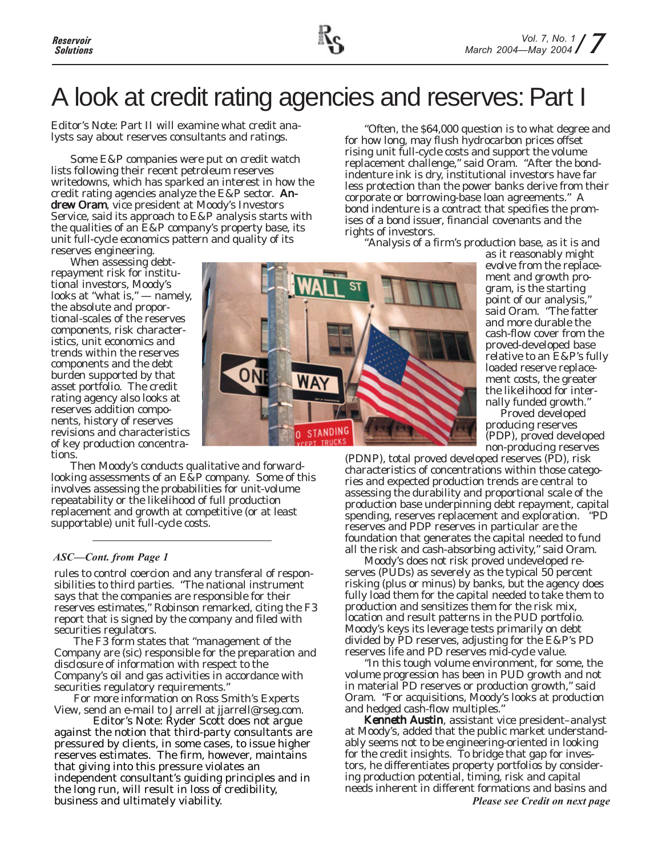## A look at credit rating agencies and reserves: Part I

### *Editor's Note: Part II will examine what credit analysts say about reserves consultants and ratings.*

Some E&P companies were put on credit watch lists following their recent petroleum reserves writedowns, which has sparked an interest in how the credit rating agencies analyze the  $E\&P$  sector. Andrew Oram, vice president at Moody's Investors Service, said its approach to E&P analysis starts with the qualities of an E&P company's property base, its unit full-cycle economics pattern and quality of its reserves engineering.

When assessing debtrepayment risk for institutional investors, Moody's looks at "what is," — namely, the absolute and proportional-scales of the reserves components, risk characteristics, unit economics and trends within the reserves components and the debt burden supported by that asset portfolio. The credit rating agency also looks at reserves addition components, history of reserves revisions and characteristics of key production concentrations.

Then Moody's conducts qualitative and forwardlooking assessments of an E&P company. Some of this involves assessing the probabilities for unit-volume repeatability or the likelihood of full production replacement and growth at competitive (or at least supportable) unit full-cycle costs.

### *ASC—Cont. from Page 1*

rules to control coercion and any transferal of responsibilities to third parties. "The national instrument says that the companies are responsible for their reserves estimates," Robinson remarked, citing the F3 report that is signed by the company and filed with securities regulators.

The F3 form states that "management of the Company are (sic) responsible for the preparation and disclosure of information with respect to the Company's oil and gas activities in accordance with securities regulatory requirements."

For more information on Ross Smith's *Experts View*, send an e-mail to Jarrell at jjarrell@rseg.com.

*Editor's Note: Ryder Scott does not argue against the notion that third-party consultants are pressured by clients, in some cases, to issue higher reserves estimates. The firm, however, maintains that giving into this pressure violates an independent consultant's guiding principles and in the long run, will result in loss of credibility, business and ultimately viability.*

"Often, the \$64,000 question is to what degree and for how long, may flush hydrocarbon prices offset rising unit full-cycle costs and support the volume replacement challenge," said Oram. "After the bondindenture ink is dry, institutional investors have far less protection than the power banks derive from their corporate or borrowing-base loan agreements." A bond indenture is a contract that specifies the promises of a bond issuer, financial covenants and the rights of investors.

"Analysis of a firm's production base, as it is and

STANDING 0 **PT TRUCKS** 

as it reasonably might evolve from the replacement and growth program, is the starting point of our analysis," said Oram. "The fatter and more durable the cash-flow cover from the proved-developed base relative to an E&P's fully loaded reserve replacement costs, the greater the likelihood for internally funded growth."

Proved developed producing reserves (PDP), proved developed non-producing reserves

(PDNP), total proved developed reserves (PD), risk characteristics of concentrations within those categories and expected production trends are central to assessing the durability and proportional scale of the production base underpinning debt repayment, capital spending, reserves replacement and exploration. "PD reserves and PDP reserves in particular are the foundation that generates the capital needed to fund all the risk and cash-absorbing activity," said Oram.

Moody's does not risk proved undeveloped reserves (PUDs) as severely as the typical 50 percent risking (plus or minus) by banks, but the agency does fully load them for the capital needed to take them to production and sensitizes them for the risk mix, location and result patterns in the PUD portfolio. Moody's keys its leverage tests primarily on debt divided by PD reserves, adjusting for the E&P's PD reserves life and PD reserves mid-cycle value.

"In this tough volume environment, for some, the volume progression has been in PUD growth and not in material PD reserves or production growth," said Oram. "For acquisitions, Moody's looks at production and hedged cash-flow multiples."

Kenneth Austin, assistant vice president-analyst at Moody's, added that the public market understandably seems not to be engineering-oriented in looking for the credit insights. To bridge that gap for investors, he differentiates property portfolios by considering production potential, timing, risk and capital needs inherent in different formations and basins and *Please see Credit on next page*